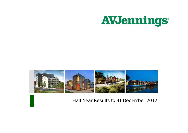



## **Half Year Results to 31 December 2012**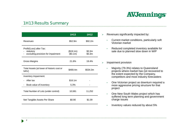## **1H13 Results Summary**

|                                                                             | 1H13                  | <b>1H12</b>      |
|-----------------------------------------------------------------------------|-----------------------|------------------|
| Revenues                                                                    | \$52.9m               | \$92.2m          |
| Profit/(Loss) after Tax:<br>statutory<br>excluding provision for impairment | (\$19.1m)<br>(\$3.1m) | \$3.3m<br>\$3.3m |
| Gross Margins                                                               | 21.8%                 | 19.4%            |
| Total Assets (at lower of historic cost or<br>NRV)                          | \$469.4m              | \$534.3m         |
| Inventory Impairment:                                                       |                       |                  |
| After tax                                                                   | \$16.1m               |                  |
| Book value of inventory                                                     | 5.3%                  |                  |
| Total Number of Lots (under control)                                        | 10,581                | 11,252           |
| Net Tangible Assets Per Share                                               | \$0.90                | \$1.09           |

- $\triangleright$  Revenues significantly impacted by:
	- • Current market conditions, particularly soft Victorian market
	- • Reduced completed inventory available for sale due to planned slow down in WIP
- $\blacktriangleright$  Impairment provision
	- • Majority (79.3%) relates to Queensland projects where market has not recovered to the extent expected by the Company, competitors and most industry forecasters
	- • One Victorian project as downturn required a more aggressive pricing structure for that project
	- • One New South Wales project which has suffered long term planning and government charge issues
	- •Inventory values reduced by about 5%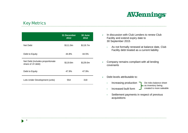## **Key Metrics**

|                                                       | 31 December<br>2012 | 30 June<br>2012 |
|-------------------------------------------------------|---------------------|-----------------|
| Net Debt                                              | \$111.9m            | \$119.7m        |
| Debt to Equity                                        | 44.8%               | 44.5%           |
| Net Debt (includes proportionate<br>share of JV debt) | \$119.8m            | \$129.0m        |
| Debt to Equity                                        | 47.9%               | 47.9%           |
| Lots Under Development (units)                        | 554                 | 318             |

- $\blacktriangleright$  In discussion with Club Lenders to renew Club Facility and extend expiry date to 30 September 2015
	- • As not formally renewed at balance date, Club Facility debt treated as a current liability
- $\blacktriangleright$  Company remains compliant with all lending covenants
- $\blacktriangleright$ Debt levels attributable to:

•

•Increasing production

• Increased built form

- De-risks balance sheet - as inventory being created is more saleable
- • Settlement payments in respect of previous acquisitions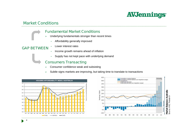## **Market Conditions**

### **Fundamental Market Conditions**

- ⋗ Underlying fundamentals stronger than recent times
	- •Affordability generally improved

### **GAP BETWEEN**

- •Lower interest rates
- •Income growth remains ahead of inflation
- •Supply has not kept pace with underlying demand

### **Consumers Transacting**

- $\blacktriangleright$ Consumer confidence weak and subsisting
- $\blacktriangleright$ Subtle signs markets are improving, but taking time to translate to transactions

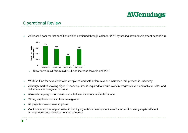## **Operational Review**

 $\blacktriangleright$ Addressed poor market conditions which continued through calendar 2012 by scaling down development expenditure



- •Slow down in WIP from mid 2011 and increase towards end 2012
- $\blacktriangleright$ Will take time for new stock to be completed and sold before revenue increases, but process is underway
- $\blacktriangleright$  Although market showing signs of recovery, time is required to rebuild work in progress levels and achieve sales and settlements to recognise revenue
- $\blacktriangleright$ Allowed company to conserve cash – but less inventory available for sale
- $\blacktriangleright$ Strong emphasis on cash flow management
- $\triangleright$ All projects development approved
- $\blacktriangleright$  Continue to explore opportunities in identifying suitable development sites for acquisition using capital efficient arrangements (e.g. development agreements)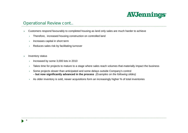## **Operational Review cont..**

- $\blacktriangleright$  Customers respond favourably to completed housing as land only sales are much harder to achieve
	- •Therefore, increased housing construction on controlled land
	- •Increases capital in short term
	- •Reduces sales risk by facilitating turnover
- $\blacktriangleright$  Inventory status
	- •Increased by some 3,000 lots in 2010
	- •Takes time for projects to mature to a stage where sales reach volumes that-materially impact the business
	- • Some projects slower than anticipated and some delays outside Company's control – **but now significantly advanced in the process** *(Examples on the following slides)*
	- •As older inventory is sold, newer acquisitions form an increasingly higher % of total inventories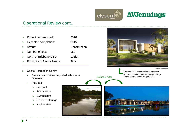

Before & After

# **AVJennings**

## **Operational Review cont..**

| Project commenced: | 2010 |
|--------------------|------|
|--------------------|------|

- $\blacktriangleright$ Expected completion: 2015
- $\blacktriangleright$ Status: Construction
- $\blacktriangleright$ Number of lots: 158
- $\blacktriangleright$ North of Brisbane CBD: 135km
- $\blacktriangleright$ Proximity to Noosa Heads: 3km
- $\blacktriangleright$  Onsite Recreation Centre
	- • Since construction completed sales have increased
	- • Includes:
		- oLap pool
		- oTennis court
		- oGymnasium
		- oResidents lounge
		- oKitchen /Bar



*Artist's Impression*

February 2013 construction commenced on first 7 homes in new AVJennings range. Completion expected August 2013.





 $\blacktriangleright$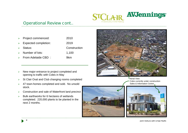

### **Operational Review cont..**

- $\blacktriangleright$  Project commenced: 2010  $\blacktriangleright$  Expected completion: 2019  $\blacktriangleright$ Status: Construction  $\blacktriangleright$ Number of lots: 1,100  $\blacktriangleright$ From Adelaide CBD : 9km
- 

**Aerial View** Coles currently under construction Sales & Information Centre



- $\blacktriangleright$  New major entrance to project completed and opening to traffic with Coles in May
- $\blacktriangleright$ St Clair Oval and Club changing rooms completed
- 47 town-homes completed and sold. No unsold stock.
- $\blacktriangleright$ Construction and sale of Waterfront land precinct
- $\blacktriangleright$  Bulk earthworks for 6 hectares of wetlands completed. 220,000 plants to be planted in the next 2 months.

Joint Venture with Urban Pacific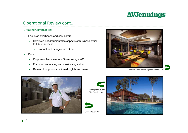## **Operational Review cont..**

#### **Creating Communities**

- $\blacktriangleright$  Focus on overheads and cost control
	- However, not detrimental to aspects of business critical to future success
		- product and design innovation
- $\blacktriangleright$  Brand
	- Corporate Ambassador Steve Waugh, AO
	- •Focus on enhancing and maximising value
	- •Research supports continued high brand value



Internal. Rec Centre: Elysium Noosa, Qld





Steve Waugh, AO

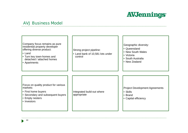## **AVJ Business Model**

| Company focus remains as pure<br>residential property developer<br>offering diverse product:<br>$\cdot$ Land<br>• Turn key town-homes and<br>detached / attached homes<br>• Apartments | Strong project pipeline:<br>• Land bank of 10,581 lots under<br>control | Geographic diversity:<br>• Queensland<br>• New South Wales<br>• Victoria<br>• South Australia<br>• New Zealand |
|----------------------------------------------------------------------------------------------------------------------------------------------------------------------------------------|-------------------------------------------------------------------------|----------------------------------------------------------------------------------------------------------------|
| Focus on quality product for various<br>markets:<br>• First home buyers<br>• Secondary and subsequent buyers<br>• Empty nesters<br>• Investors                                         | Integrated build-out where<br>appropriate                               | <b>Project Development Agreements</b><br>• Skills<br>• Brand<br>• Capital efficiency                           |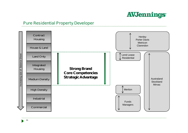## **Pure Residential Property Developer**

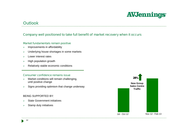## **Outlook**

### **Company well positioned to take full benefit of market recovery when it occurs**

#### **Market fundamentals remain positive**

- $\blacktriangleright$ Improvements in affordability
- $\blacktriangleright$ Underlying house shortages in some markets
- $\blacktriangleright$ Lower interest rates
- $\blacktriangleright$ High population growth
- $\blacktriangleright$ Relatively stable economic conditions

#### **Consumer confidence remains issue**

- $\blacktriangleright$  Market conditions will remain challenging, until positive change
- $\blacktriangleright$ Signs providing optimism that change underway

#### BEING SUPPORTED BY:

- $\blacktriangleright$ State Government initiatives
- $\blacktriangleright$ Stamp duty initiatives

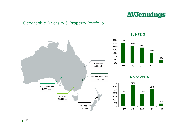

## **Geographic Diversity & Property Portfolio**



**By NFE %**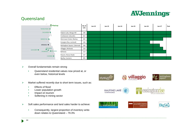

### **Queensland**

|              | $\rightarrow$<br><b>Mackay</b><br>NOOSA HEADS |                              | No of<br>Lots | <b>Jun-12</b> | <b>Jun-13</b> | <b>Jun-14</b> | <b>Jun-15</b> | <b>Jun-16</b> | <b>Jun-17</b> | Post |
|--------------|-----------------------------------------------|------------------------------|---------------|---------------|---------------|---------------|---------------|---------------|---------------|------|
|              | CALCUNDRA .                                   | Halpine Lake, Mango Hill     | 196           |               |               |               |               |               |               |      |
|              |                                               | Creekwood, Caloundra         | 622           |               |               |               |               |               |               |      |
|              | MANGO HILL .                                  | Glenrowan Estate, Mackay     | 202           |               |               |               |               |               |               |      |
|              |                                               | Essington Rise, Leichardt    | 126           |               |               |               |               |               |               |      |
|              | BRISBANE .                                    | Nottingham Square, Calamvale | 166           |               |               |               |               |               |               |      |
| LEICHHARDT . | <b>RICHLANDS</b>                              | Villaggio, Richlands         | 116           |               |               |               |               |               |               |      |
|              | <b>O</b> BETHANIA<br>CALAMVALE                | Bethania                     | 113           |               |               |               |               |               |               |      |
| COOMERA .    | Elysium, Noosa Heads                          | 167                          |               |               |               |               |               |               |               |      |
|              |                                               | Big Sky, Coomera             | 305           |               |               |               |               |               |               |      |

- $\blacktriangleright$  Overall fundamentals remain strong
	- • Queensland residential values now priced at, or even below, historical levels
- $\blacktriangleright$  Market suffered recently due to short term issues, such as:
	- •Effects of flood
	- •Lower population growth
	- •Impact on tourism
	- •Softening in mining sector
- $\blacktriangleright$  Soft sales performance and land sales harder to achieve:
	- • Consequently, largest proportion of inventory writedown relates to Queensland – 79.3%

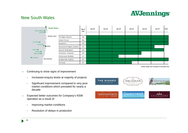

### **New South Wales**

| ∧<br><b>Sandy Beach</b><br>HAMLYN TERRACE O |                    |                               | No of<br>Lots | <b>Jun-12</b> | <b>Jun-13</b> | <b>Jun-14</b> | <b>Jun-15</b> | <b>Jun-16</b> | <b>Jun-17</b> | Post |
|---------------------------------------------|--------------------|-------------------------------|---------------|---------------|---------------|---------------|---------------|---------------|---------------|------|
| WAZALEA <sup>O</sup>                        |                    |                               |               |               |               |               |               |               |               |      |
|                                             | CENTRAL COAST      | The Ridges, Elderslie         | 328           |               |               |               |               |               |               |      |
|                                             |                    | Hamlyn Terrace                | 440           |               |               |               |               |               |               |      |
| THE PONDS O<br>EASTWOOD                     |                    | Spring Farm                   | 218           |               |               |               |               |               |               |      |
|                                             | <b>OSYDNEY</b>     | Ravensworth Heights, Goulburn | 152           |               |               |               |               |               |               |      |
| $-11 - 11$<br>COSSITY <sup>®</sup>          |                    | Seacrest, Sandy Beach         | 128           |               |               |               |               |               |               |      |
| <b>SPRING FARM O</b>                        | <b>ELDERSLIE O</b> | Cavanstone, Eastwood          | 153           |               |               |               |               |               |               |      |
| O GOULBURN                                  |                    | Charterwood, Wadalba          | 23            |               |               |               |               |               |               |      |
|                                             | <b>WOLLONGONG</b>  | Arcadian Hills, Cobbitty      | 457           |               |               |               |               |               |               |      |
|                                             |                    | The Ponds                     | 82            |               |               |               |               |               |               |      |

Note: does not include 9 remnant lots

- $\blacktriangleright$  Continuing to show signs of improvement
	- •Increased enquiry levels at majority of projects
	- • Significant improvement compared to very poor market conditions which prevailed for nearly a decade
- $\blacktriangleright$  Expected better outcomes for Company's NSW operation as a result of:
	- •Improving market conditions
	- •Resolution of delays in production

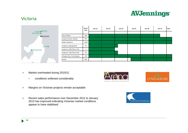

### **Victoria**



|                               | No of<br>Lots | <b>Jun-12</b> | <b>Jun-13</b> | <b>Jun-14</b> | <b>Jun-15</b> | <b>Jun-16</b> | <b>Jun-17</b> | Post |
|-------------------------------|---------------|---------------|---------------|---------------|---------------|---------------|---------------|------|
|                               |               |               |               |               |               |               |               |      |
| Arena, Officer                | 144           |               |               |               |               |               |               |      |
| Lyndarum North, Wollert       | 674           |               |               |               |               |               |               |      |
| Wollert (Options)             | 1,820         |               |               |               |               |               |               |      |
| Lyndarum, Epping North        | 76            |               |               |               |               |               |               |      |
| Lyndarum, 100 O'Hern's Rd     | 2             |               |               |               |               |               |               |      |
| Lyndarum, 150 O'Hern's Rd     | 29            |               |               |               |               |               |               |      |
| Arlington Rise, Portarlington | 254           |               |               |               |               |               |               |      |
| Doreen                        | 365           |               |               |               |               |               |               |      |

- $\blacktriangleright$  Market overheated during 2010/11
	- •conditions softened considerably
- $\blacktriangleright$ Margins on Victorian projects remain acceptable
- $\blacktriangleright$  Recent sales performance over December 2012 & January 2013 has improved indicating Victorian market conditions appear to have stabilised





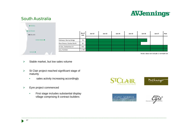

### **South Australia**

| · PENFILD<br><b>CATAGORITM</b>                         |                                                       |               |               |               |               |               |               |                                      |      |
|--------------------------------------------------------|-------------------------------------------------------|---------------|---------------|---------------|---------------|---------------|---------------|--------------------------------------|------|
| $\bullet$ CHETENHAM<br>· ADELAIDE<br><b>STATISTICS</b> |                                                       | No of<br>Lots | <b>Jun-12</b> | <b>Jun-13</b> | <b>Jun-14</b> | <b>Jun-15</b> | <b>Jun-16</b> | <b>Jun-17</b>                        | Post |
| <b>MURRAY BROGE</b>                                    |                                                       |               |               |               |               |               |               |                                      |      |
| and the company of the company of the com-             | Pathways, Murray Bridge<br>River Breeze, Goolwa North | 78<br>84      |               |               |               |               |               |                                      |      |
|                                                        | St Clair, Cheltenham JV                               | 843           |               |               |               |               |               |                                      |      |
|                                                        | Eyre, Penfield                                        | 1,748         |               |               |               |               |               |                                      |      |
| GOOLWA .                                               |                                                       |               |               |               |               |               |               | Note: does not include 1 remnant lot |      |

- $\blacktriangleright$ Stable market, but low sales volume
- $\blacktriangleright$  St Clair project reached significant stage of maturity
	- •sales activity increasing accordingly
- $\blacktriangleright$  Eyre project commenced
	- • First stage includes substantial display village comprising 8 contract builders







17 $\blacktriangleright$